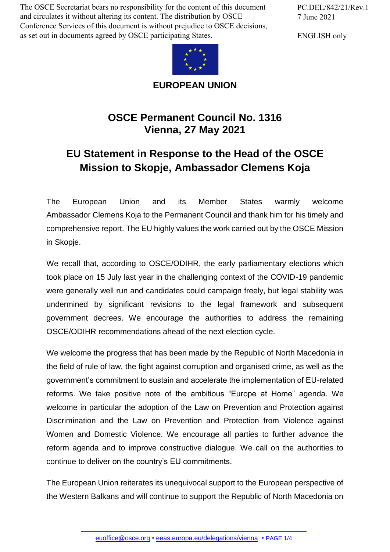The OSCE Secretariat bears no responsibility for the content of this document and circulates it without altering its content. The distribution by OSCE Conference Services of this document is without prejudice to OSCE decisions, as set out in documents agreed by OSCE participating States.



**EUROPEAN UNION**

## **OSCE Permanent Council No. 1316 Vienna, 27 May 2021**

## **EU Statement in Response to the Head of the OSCE Mission to Skopje, Ambassador Clemens Koja**

The European Union and its Member States warmly welcome Ambassador Clemens Koja to the Permanent Council and thank him for his timely and comprehensive report. The EU highly values the work carried out by the OSCE Mission in Skopje.

We recall that, according to OSCE/ODIHR, the early parliamentary elections which took place on 15 July last year in the challenging context of the COVID-19 pandemic were generally well run and candidates could campaign freely, but legal stability was undermined by significant revisions to the legal framework and subsequent government decrees. We encourage the authorities to address the remaining OSCE/ODIHR recommendations ahead of the next election cycle.

We welcome the progress that has been made by the Republic of North Macedonia in the field of rule of law, the fight against corruption and organised crime, as well as the government's commitment to sustain and accelerate the implementation of EU-related reforms. We take positive note of the ambitious "Europe at Home" agenda. We welcome in particular the adoption of the Law on Prevention and Protection against Discrimination and the Law on Prevention and Protection from Violence against Women and Domestic Violence. We encourage all parties to further advance the reform agenda and to improve constructive dialogue. We call on the authorities to continue to deliver on the country's EU commitments.

The European Union reiterates its unequivocal support to the European perspective of the Western Balkans and will continue to support the Republic of North Macedonia on

PC.DEL/842/21/Rev.1 7 June 2021

ENGLISH only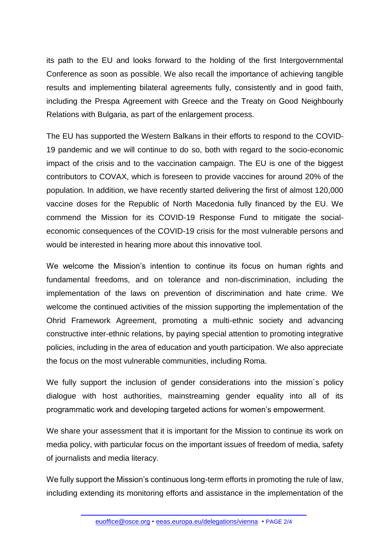its path to the EU and looks forward to the holding of the first Intergovernmental Conference as soon as possible. We also recall the importance of achieving tangible results and implementing bilateral agreements fully, consistently and in good faith, including the Prespa Agreement with Greece and the Treaty on Good Neighbourly Relations with Bulgaria, as part of the enlargement process.

The EU has supported the Western Balkans in their efforts to respond to the COVID-19 pandemic and we will continue to do so, both with regard to the socio-economic impact of the crisis and to the vaccination campaign. The EU is one of the biggest contributors to COVAX, which is foreseen to provide vaccines for around 20% of the population. In addition, we have recently started delivering the first of almost 120,000 vaccine doses for the Republic of North Macedonia fully financed by the EU. We commend the Mission for its COVID-19 Response Fund to mitigate the socialeconomic consequences of the COVID-19 crisis for the most vulnerable persons and would be interested in hearing more about this innovative tool.

We welcome the Mission's intention to continue its focus on human rights and fundamental freedoms, and on tolerance and non-discrimination, including the implementation of the laws on prevention of discrimination and hate crime. We welcome the continued activities of the mission supporting the implementation of the Ohrid Framework Agreement, promoting a multi-ethnic society and advancing constructive inter-ethnic relations, by paying special attention to promoting integrative policies, including in the area of education and youth participation. We also appreciate the focus on the most vulnerable communities, including Roma.

We fully support the inclusion of gender considerations into the mission's policy dialogue with host authorities, mainstreaming gender equality into all of its programmatic work and developing targeted actions for women's empowerment.

We share your assessment that it is important for the Mission to continue its work on media policy, with particular focus on the important issues of freedom of media, safety of journalists and media literacy.

We fully support the Mission's continuous long-term efforts in promoting the rule of law, including extending its monitoring efforts and assistance in the implementation of the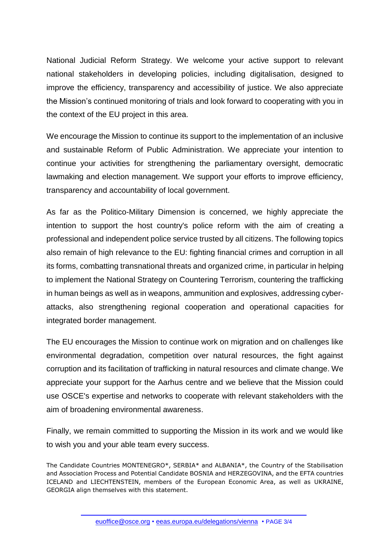National Judicial Reform Strategy. We welcome your active support to relevant national stakeholders in developing policies, including digitalisation, designed to improve the efficiency, transparency and accessibility of justice. We also appreciate the Mission's continued monitoring of trials and look forward to cooperating with you in the context of the EU project in this area.

We encourage the Mission to continue its support to the implementation of an inclusive and sustainable Reform of Public Administration. We appreciate your intention to continue your activities for strengthening the parliamentary oversight, democratic lawmaking and election management. We support your efforts to improve efficiency, transparency and accountability of local government.

As far as the Politico-Military Dimension is concerned, we highly appreciate the intention to support the host country's police reform with the aim of creating a professional and independent police service trusted by all citizens. The following topics also remain of high relevance to the EU: fighting financial crimes and corruption in all its forms, combatting transnational threats and organized crime, in particular in helping to implement the National Strategy on Countering Terrorism, countering the trafficking in human beings as well as in weapons, ammunition and explosives, addressing cyberattacks, also strengthening regional cooperation and operational capacities for integrated border management.

The EU encourages the Mission to continue work on migration and on challenges like environmental degradation, competition over natural resources, the fight against corruption and its facilitation of trafficking in natural resources and climate change. We appreciate your support for the Aarhus centre and we believe that the Mission could use OSCE's expertise and networks to cooperate with relevant stakeholders with the aim of broadening environmental awareness.

Finally, we remain committed to supporting the Mission in its work and we would like to wish you and your able team every success.

The Candidate Countries MONTENEGRO\*, SERBIA\* and ALBANIA\*, the Country of the Stabilisation and Association Process and Potential Candidate BOSNIA and HERZEGOVINA, and the EFTA countries ICELAND and LIECHTENSTEIN, members of the European Economic Area, as well as UKRAINE, GEORGIA align themselves with this statement.